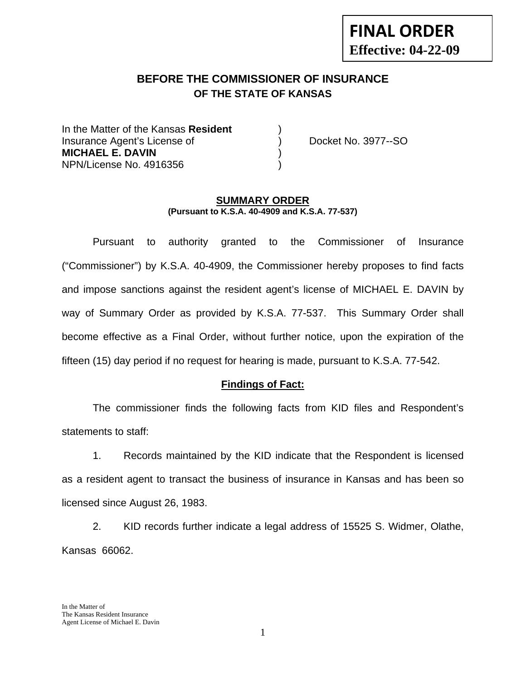# **FINAL ORDER Effective: 04-22-09**

## **BEFORE THE COMMISSIONER OF INSURANCE OF THE STATE OF KANSAS**

In the Matter of the Kansas **Resident** ) Insurance Agent's License of (a) Docket No. 3977--SO **MICHAEL E. DAVIN** ) NPN/License No. 4916356 )

#### **SUMMARY ORDER (Pursuant to K.S.A. 40-4909 and K.S.A. 77-537)**

 Pursuant to authority granted to the Commissioner of Insurance ("Commissioner") by K.S.A. 40-4909, the Commissioner hereby proposes to find facts and impose sanctions against the resident agent's license of MICHAEL E. DAVIN by way of Summary Order as provided by K.S.A. 77-537. This Summary Order shall become effective as a Final Order, without further notice, upon the expiration of the fifteen (15) day period if no request for hearing is made, pursuant to K.S.A. 77-542.

#### **Findings of Fact:**

 The commissioner finds the following facts from KID files and Respondent's statements to staff:

 1. Records maintained by the KID indicate that the Respondent is licensed as a resident agent to transact the business of insurance in Kansas and has been so licensed since August 26, 1983.

 2. KID records further indicate a legal address of 15525 S. Widmer, Olathe, Kansas 66062.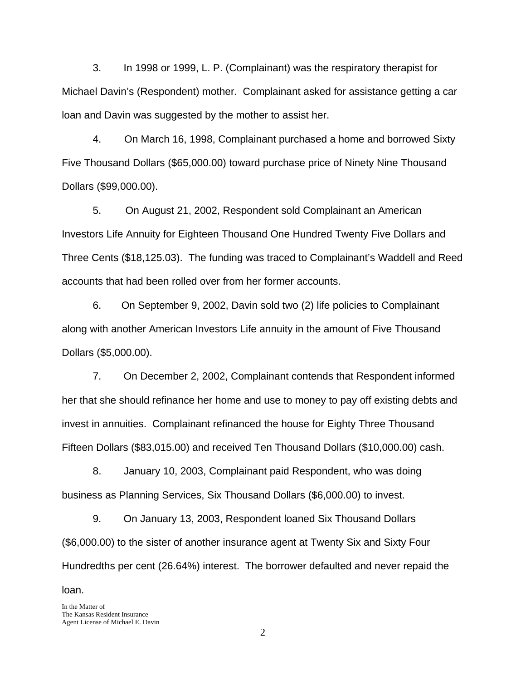3. In 1998 or 1999, L. P. (Complainant) was the respiratory therapist for Michael Davin's (Respondent) mother. Complainant asked for assistance getting a car loan and Davin was suggested by the mother to assist her.

4. On March 16, 1998, Complainant purchased a home and borrowed Sixty Five Thousand Dollars (\$65,000.00) toward purchase price of Ninety Nine Thousand Dollars (\$99,000.00).

5. On August 21, 2002, Respondent sold Complainant an American Investors Life Annuity for Eighteen Thousand One Hundred Twenty Five Dollars and Three Cents (\$18,125.03). The funding was traced to Complainant's Waddell and Reed accounts that had been rolled over from her former accounts.

6. On September 9, 2002, Davin sold two (2) life policies to Complainant along with another American Investors Life annuity in the amount of Five Thousand Dollars (\$5,000.00).

7. On December 2, 2002, Complainant contends that Respondent informed her that she should refinance her home and use to money to pay off existing debts and invest in annuities. Complainant refinanced the house for Eighty Three Thousand Fifteen Dollars (\$83,015.00) and received Ten Thousand Dollars (\$10,000.00) cash.

 8. January 10, 2003, Complainant paid Respondent, who was doing business as Planning Services, Six Thousand Dollars (\$6,000.00) to invest.

9. On January 13, 2003, Respondent loaned Six Thousand Dollars (\$6,000.00) to the sister of another insurance agent at Twenty Six and Sixty Four Hundredths per cent (26.64%) interest. The borrower defaulted and never repaid the loan.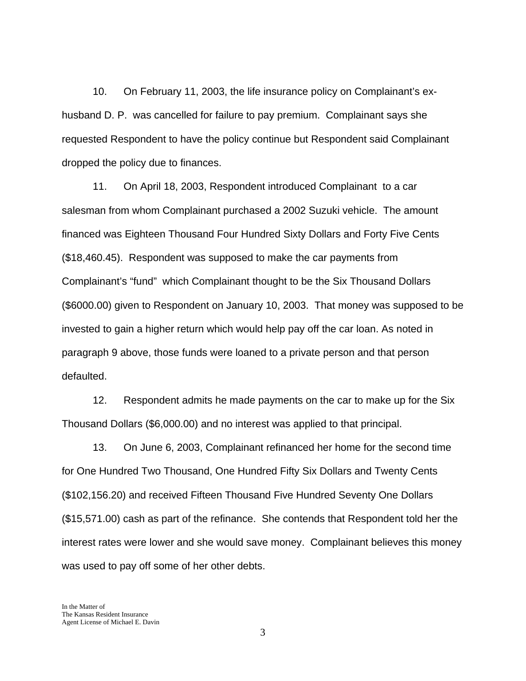10. On February 11, 2003, the life insurance policy on Complainant's exhusband D. P. was cancelled for failure to pay premium. Complainant says she requested Respondent to have the policy continue but Respondent said Complainant dropped the policy due to finances.

11. On April 18, 2003, Respondent introduced Complainant to a car salesman from whom Complainant purchased a 2002 Suzuki vehicle. The amount financed was Eighteen Thousand Four Hundred Sixty Dollars and Forty Five Cents (\$18,460.45). Respondent was supposed to make the car payments from Complainant's "fund" which Complainant thought to be the Six Thousand Dollars (\$6000.00) given to Respondent on January 10, 2003. That money was supposed to be invested to gain a higher return which would help pay off the car loan. As noted in paragraph 9 above, those funds were loaned to a private person and that person defaulted.

12. Respondent admits he made payments on the car to make up for the Six Thousand Dollars (\$6,000.00) and no interest was applied to that principal.

13. On June 6, 2003, Complainant refinanced her home for the second time for One Hundred Two Thousand, One Hundred Fifty Six Dollars and Twenty Cents (\$102,156.20) and received Fifteen Thousand Five Hundred Seventy One Dollars (\$15,571.00) cash as part of the refinance. She contends that Respondent told her the interest rates were lower and she would save money. Complainant believes this money was used to pay off some of her other debts.

3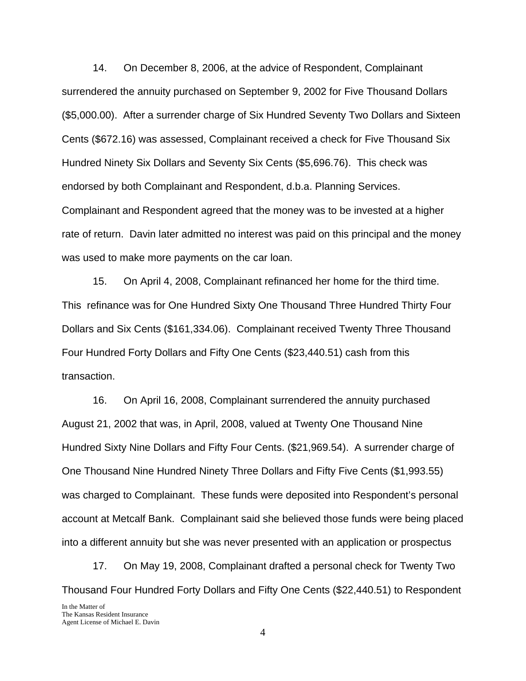14. On December 8, 2006, at the advice of Respondent, Complainant surrendered the annuity purchased on September 9, 2002 for Five Thousand Dollars (\$5,000.00). After a surrender charge of Six Hundred Seventy Two Dollars and Sixteen Cents (\$672.16) was assessed, Complainant received a check for Five Thousand Six Hundred Ninety Six Dollars and Seventy Six Cents (\$5,696.76). This check was endorsed by both Complainant and Respondent, d.b.a. Planning Services. Complainant and Respondent agreed that the money was to be invested at a higher rate of return. Davin later admitted no interest was paid on this principal and the money was used to make more payments on the car loan.

15. On April 4, 2008, Complainant refinanced her home for the third time. This refinance was for One Hundred Sixty One Thousand Three Hundred Thirty Four Dollars and Six Cents (\$161,334.06). Complainant received Twenty Three Thousand Four Hundred Forty Dollars and Fifty One Cents (\$23,440.51) cash from this transaction.

16. On April 16, 2008, Complainant surrendered the annuity purchased August 21, 2002 that was, in April, 2008, valued at Twenty One Thousand Nine Hundred Sixty Nine Dollars and Fifty Four Cents. (\$21,969.54). A surrender charge of One Thousand Nine Hundred Ninety Three Dollars and Fifty Five Cents (\$1,993.55) was charged to Complainant. These funds were deposited into Respondent's personal account at Metcalf Bank. Complainant said she believed those funds were being placed into a different annuity but she was never presented with an application or prospectus

17. On May 19, 2008, Complainant drafted a personal check for Twenty Two Thousand Four Hundred Forty Dollars and Fifty One Cents (\$22,440.51) to Respondent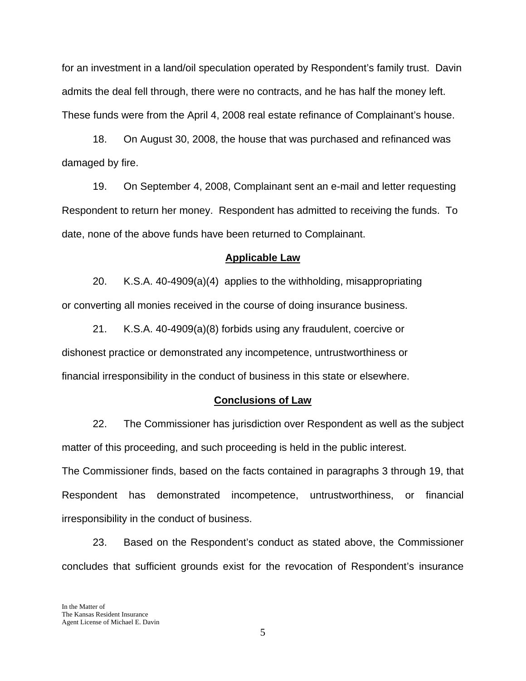for an investment in a land/oil speculation operated by Respondent's family trust. Davin admits the deal fell through, there were no contracts, and he has half the money left. These funds were from the April 4, 2008 real estate refinance of Complainant's house.

18. On August 30, 2008, the house that was purchased and refinanced was damaged by fire.

19. On September 4, 2008, Complainant sent an e-mail and letter requesting Respondent to return her money. Respondent has admitted to receiving the funds. To date, none of the above funds have been returned to Complainant.

#### **Applicable Law**

 20. K.S.A. 40-4909(a)(4) applies to the withholding, misappropriating or converting all monies received in the course of doing insurance business.

21. K.S.A. 40-4909(a)(8) forbids using any fraudulent, coercive or dishonest practice or demonstrated any incompetence, untrustworthiness or financial irresponsibility in the conduct of business in this state or elsewhere.

#### **Conclusions of Law**

 22. The Commissioner has jurisdiction over Respondent as well as the subject matter of this proceeding, and such proceeding is held in the public interest.

The Commissioner finds, based on the facts contained in paragraphs 3 through 19, that Respondent has demonstrated incompetence, untrustworthiness, or financial irresponsibility in the conduct of business.

 23. Based on the Respondent's conduct as stated above, the Commissioner concludes that sufficient grounds exist for the revocation of Respondent's insurance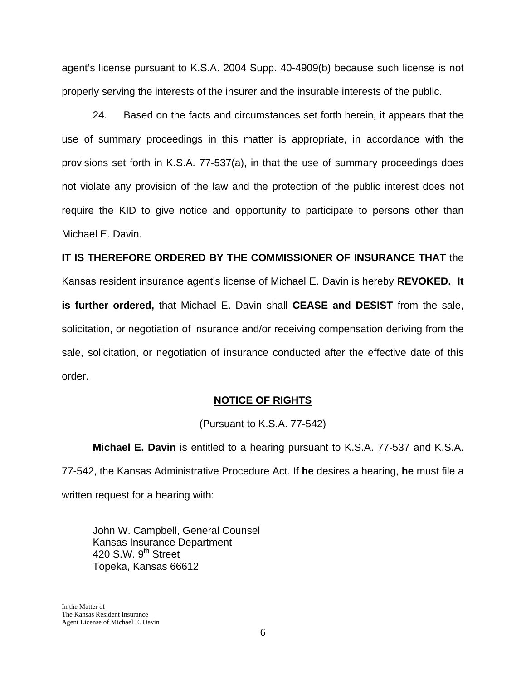agent's license pursuant to K.S.A. 2004 Supp. 40-4909(b) because such license is not properly serving the interests of the insurer and the insurable interests of the public.

 24. Based on the facts and circumstances set forth herein, it appears that the use of summary proceedings in this matter is appropriate, in accordance with the provisions set forth in K.S.A. 77-537(a), in that the use of summary proceedings does not violate any provision of the law and the protection of the public interest does not require the KID to give notice and opportunity to participate to persons other than Michael E. Davin.

**IT IS THEREFORE ORDERED BY THE COMMISSIONER OF INSURANCE THAT** the Kansas resident insurance agent's license of Michael E. Davin is hereby **REVOKED. It is further ordered,** that Michael E. Davin shall **CEASE and DESIST** from the sale, solicitation, or negotiation of insurance and/or receiving compensation deriving from the sale, solicitation, or negotiation of insurance conducted after the effective date of this order.

#### **NOTICE OF RIGHTS**

(Pursuant to K.S.A. 77-542)

**Michael E. Davin** is entitled to a hearing pursuant to K.S.A. 77-537 and K.S.A. 77-542, the Kansas Administrative Procedure Act. If **he** desires a hearing, **he** must file a written request for a hearing with:

 John W. Campbell, General Counsel Kansas Insurance Department 420 S.W. 9<sup>th</sup> Street Topeka, Kansas 66612

In the Matter of The Kansas Resident Insurance Agent License of Michael E. Davin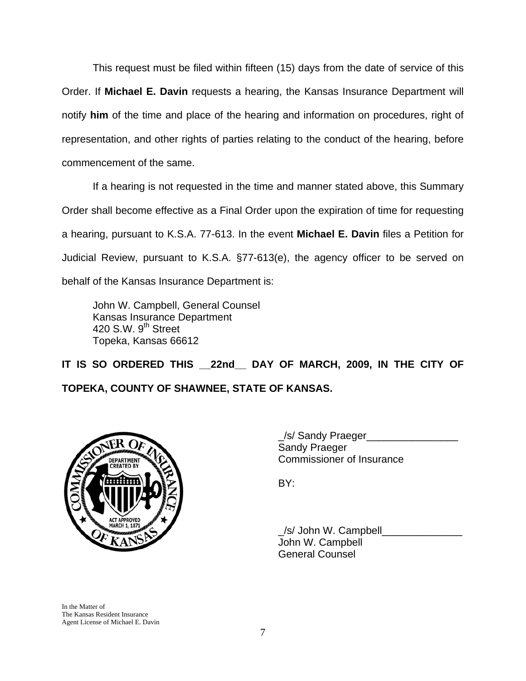This request must be filed within fifteen (15) days from the date of service of this Order. If **Michael E. Davin** requests a hearing, the Kansas Insurance Department will notify **him** of the time and place of the hearing and information on procedures, right of representation, and other rights of parties relating to the conduct of the hearing, before commencement of the same.

If a hearing is not requested in the time and manner stated above, this Summary Order shall become effective as a Final Order upon the expiration of time for requesting a hearing, pursuant to K.S.A. 77-613. In the event **Michael E. Davin** files a Petition for Judicial Review, pursuant to K.S.A. §77-613(e), the agency officer to be served on behalf of the Kansas Insurance Department is:

 John W. Campbell, General Counsel Kansas Insurance Department 420 S.W. 9<sup>th</sup> Street Topeka, Kansas 66612

IT IS SO ORDERED THIS 22nd DAY OF MARCH, 2009, IN THE CITY OF **TOPEKA, COUNTY OF SHAWNEE, STATE OF KANSAS.** 



\_/s/ Sandy Praeger\_\_\_\_\_\_\_\_\_\_\_\_\_\_\_\_ Sandy Praeger DEPARTMENT VON COMMISSIONER Of Insurance

 \_/s/ John W. Campbell\_\_\_\_\_\_\_\_\_\_\_\_\_\_ John W. Campbell General Counsel

In the Matter of The Kansas Resident Insurance Agent License of Michael E. Davin